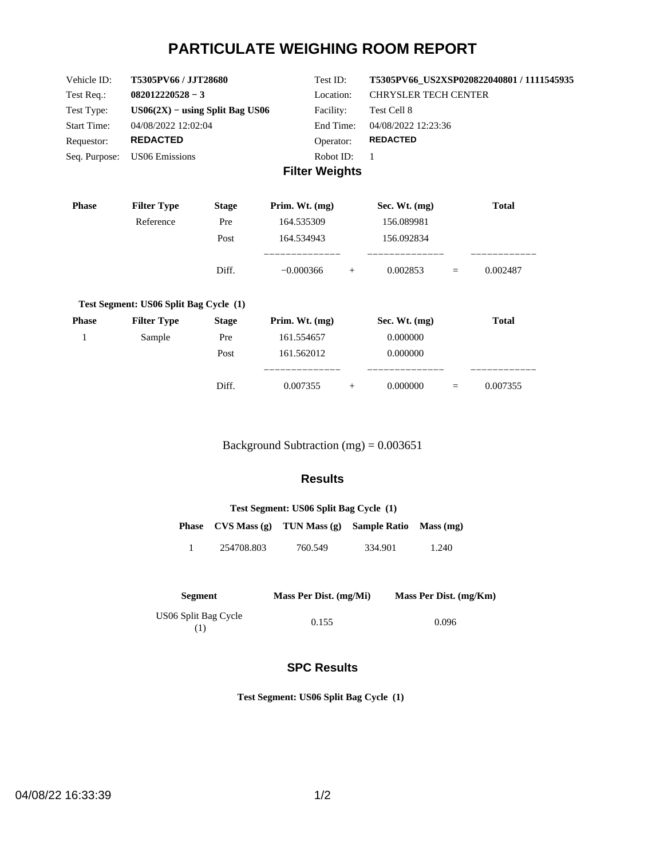# **PARTICULATE WEIGHING ROOM REPORT**

| Vehicle ID:        | T5305PV66 / JJT28680              | Test ID:       | T5305PV66 US2XSP020822040801 / 1111545935 |
|--------------------|-----------------------------------|----------------|-------------------------------------------|
| Test Req.:         | $082012220528 - 3$                | Location:      | <b>CHRYSLER TECH CENTER</b>               |
| Test Type:         | $US06(2X) - using Split Bag US06$ | Facility:      | Test Cell 8                               |
| <b>Start Time:</b> | 04/08/2022 12:02:04               | End Time:      | 04/08/2022 12:23:36                       |
| Requestor:         | <b>REDACTED</b>                   | Operator:      | <b>REDACTED</b>                           |
| Seq. Purpose:      | US06 Emissions                    | Robot ID:      |                                           |
|                    |                                   | Eiltor Wojabte |                                           |

#### **Filter Weights**

| <b>Phase</b> | <b>Filter Type</b>                     | <b>Stage</b> | Prim. Wt. $(mg)$         |     | Sec. Wt. $(mg)$ |     | <b>Total</b> |
|--------------|----------------------------------------|--------------|--------------------------|-----|-----------------|-----|--------------|
|              | Reference                              | Pre          | 164.535309               |     | 156.089981      |     |              |
|              |                                        | Post         | 164.534943               |     | 156.092834      |     |              |
|              |                                        | Diff.        | _________<br>$-0.000366$ | $+$ | 0.002853        | $=$ | 0.002487     |
|              | Test Segment: US06 Split Bag Cycle (1) |              |                          |     |                 |     |              |
| <b>Phase</b> | <b>Filter Type</b>                     | <b>Stage</b> | Prim. Wt. $(mg)$         |     | Sec. Wt. $(mg)$ |     | <b>Total</b> |
| 1            | Sample                                 | Pre          | 161.554657               |     | 0.000000        |     |              |
|              |                                        | Post         | 161.562012               |     | 0.000000        |     |              |
|              |                                        | Diff.        | ___________<br>0.007355  | $+$ | 0.000000        | $=$ | 0.007355     |

Background Subtraction (mg) = 0.003651

### **Results**

| Test Segment: US06 Split Bag Cycle (1) |            |                                                        |         |       |  |  |
|----------------------------------------|------------|--------------------------------------------------------|---------|-------|--|--|
|                                        |            | Phase CVS Mass (g) TUN Mass (g) Sample Ratio Mass (mg) |         |       |  |  |
|                                        | 254708.803 | 760.549                                                | 334.901 | 1.240 |  |  |

| <b>Segment</b>       | Mass Per Dist. (mg/Mi) | Mass Per Dist. (mg/Km) |
|----------------------|------------------------|------------------------|
| US06 Split Bag Cycle | 0.155                  | 0.096                  |

### **SPC Results**

**Test Segment: US06 Split Bag Cycle (1)**